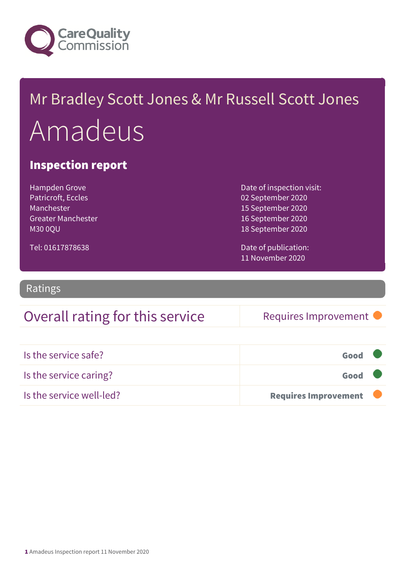

## Mr Bradley Scott Jones & Mr Russell Scott Jones Amadeus

#### Inspection report

Hampden Grove Patricroft, Eccles Manchester Greater Manchester M30 0QU

Date of inspection visit: 02 September 2020 15 September 2020 16 September 2020 18 September 2020

Tel: 01617878638

Date of publication: 11 November 2020

Ratings

### Overall rating for this service Requires Improvement

| Is the service safe?     | Good                        |  |
|--------------------------|-----------------------------|--|
| Is the service caring?   | Good                        |  |
| Is the service well-led? | <b>Requires Improvement</b> |  |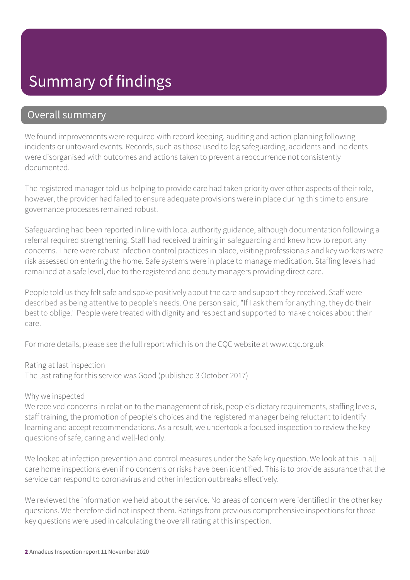### Summary of findings

#### Overall summary

We found improvements were required with record keeping, auditing and action planning following incidents or untoward events. Records, such as those used to log safeguarding, accidents and incidents were disorganised with outcomes and actions taken to prevent a reoccurrence not consistently documented.

The registered manager told us helping to provide care had taken priority over other aspects of their role, however, the provider had failed to ensure adequate provisions were in place during this time to ensure governance processes remained robust.

Safeguarding had been reported in line with local authority guidance, although documentation following a referral required strengthening. Staff had received training in safeguarding and knew how to report any concerns. There were robust infection control practices in place, visiting professionals and key workers were risk assessed on entering the home. Safe systems were in place to manage medication. Staffing levels had remained at a safe level, due to the registered and deputy managers providing direct care.

People told us they felt safe and spoke positively about the care and support they received. Staff were described as being attentive to people's needs. One person said, "If I ask them for anything, they do their best to oblige." People were treated with dignity and respect and supported to make choices about their care.

For more details, please see the full report which is on the CQC website at www.cqc.org.uk

Rating at last inspection

The last rating for this service was Good (published 3 October 2017)

#### Why we inspected

We received concerns in relation to the management of risk, people's dietary requirements, staffing levels, staff training, the promotion of people's choices and the registered manager being reluctant to identify learning and accept recommendations. As a result, we undertook a focused inspection to review the key questions of safe, caring and well-led only.

We looked at infection prevention and control measures under the Safe key question. We look at this in all care home inspections even if no concerns or risks have been identified. This is to provide assurance that the service can respond to coronavirus and other infection outbreaks effectively.

We reviewed the information we held about the service. No areas of concern were identified in the other key questions. We therefore did not inspect them. Ratings from previous comprehensive inspections for those key questions were used in calculating the overall rating at this inspection.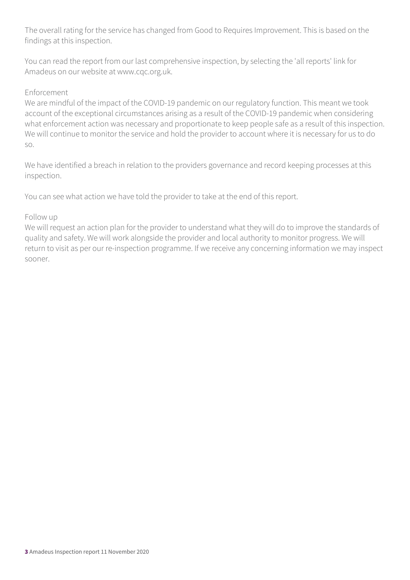The overall rating for the service has changed from Good to Requires Improvement. This is based on the findings at this inspection.

You can read the report from our last comprehensive inspection, by selecting the 'all reports' link for Amadeus on our website at www.cqc.org.uk.

#### Enforcement

We are mindful of the impact of the COVID-19 pandemic on our regulatory function. This meant we took account of the exceptional circumstances arising as a result of the COVID-19 pandemic when considering what enforcement action was necessary and proportionate to keep people safe as a result of this inspection. We will continue to monitor the service and hold the provider to account where it is necessary for us to do so.

We have identified a breach in relation to the providers governance and record keeping processes at this inspection.

You can see what action we have told the provider to take at the end of this report.

#### Follow up

We will request an action plan for the provider to understand what they will do to improve the standards of quality and safety. We will work alongside the provider and local authority to monitor progress. We will return to visit as per our re-inspection programme. If we receive any concerning information we may inspect sooner.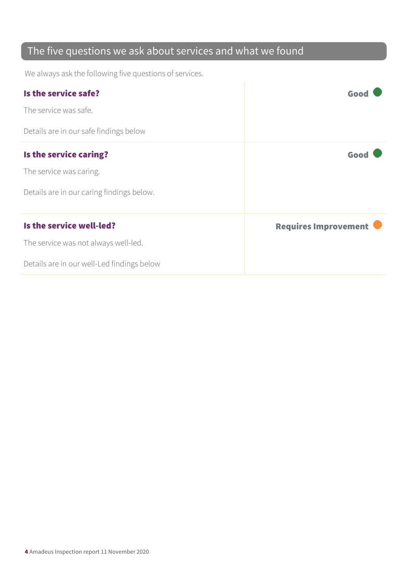### The five questions we ask about services and what we found

We always ask the following five questions of services.

| Is the service safe?                       | Goo                         |
|--------------------------------------------|-----------------------------|
| The service was safe.                      |                             |
| Details are in our safe findings below     |                             |
| Is the service caring?                     | Good                        |
| The service was caring.                    |                             |
| Details are in our caring findings below.  |                             |
| Is the service well-led?                   | <b>Requires Improvement</b> |
| The service was not always well-led.       |                             |
| Details are in our well-Led findings below |                             |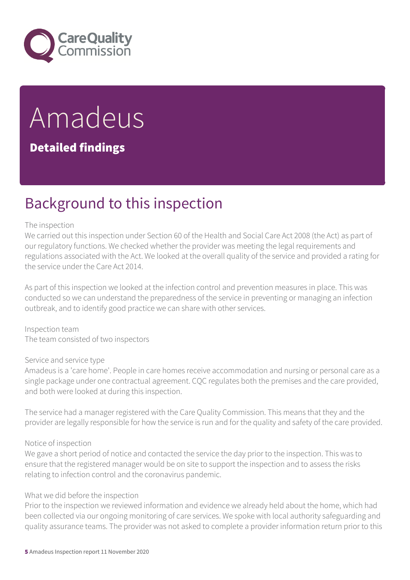

# Amadeus

#### Detailed findings

### Background to this inspection

#### The inspection

We carried out this inspection under Section 60 of the Health and Social Care Act 2008 (the Act) as part of our regulatory functions. We checked whether the provider was meeting the legal requirements and regulations associated with the Act. We looked at the overall quality of the service and provided a rating for the service under the Care Act 2014.

As part of this inspection we looked at the infection control and prevention measures in place. This was conducted so we can understand the preparedness of the service in preventing or managing an infection outbreak, and to identify good practice we can share with other services.

Inspection team The team consisted of two inspectors

Service and service type

Amadeus is a 'care home'. People in care homes receive accommodation and nursing or personal care as a single package under one contractual agreement. CQC regulates both the premises and the care provided, and both were looked at during this inspection.

The service had a manager registered with the Care Quality Commission. This means that they and the provider are legally responsible for how the service is run and for the quality and safety of the care provided.

#### Notice of inspection

We gave a short period of notice and contacted the service the day prior to the inspection. This was to ensure that the registered manager would be on site to support the inspection and to assess the risks relating to infection control and the coronavirus pandemic.

#### What we did before the inspection

Prior to the inspection we reviewed information and evidence we already held about the home, which had been collected via our ongoing monitoring of care services. We spoke with local authority safeguarding and quality assurance teams. The provider was not asked to complete a provider information return prior to this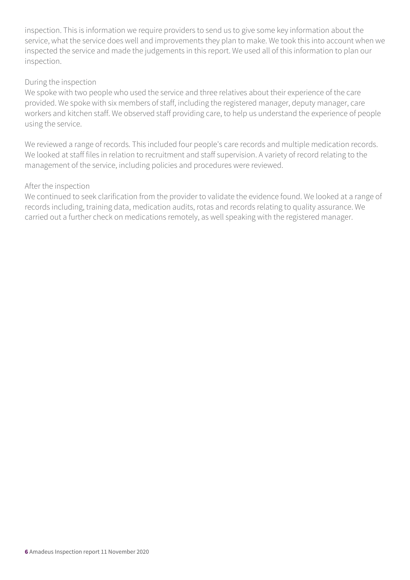inspection. This is information we require providers to send us to give some key information about the service, what the service does well and improvements they plan to make. We took this into account when we inspected the service and made the judgements in this report. We used all of this information to plan our inspection.

#### During the inspection

We spoke with two people who used the service and three relatives about their experience of the care provided. We spoke with six members of staff, including the registered manager, deputy manager, care workers and kitchen staff. We observed staff providing care, to help us understand the experience of people using the service.

We reviewed a range of records. This included four people's care records and multiple medication records. We looked at staff files in relation to recruitment and staff supervision. A variety of record relating to the management of the service, including policies and procedures were reviewed.

#### After the inspection

We continued to seek clarification from the provider to validate the evidence found. We looked at a range of records including, training data, medication audits, rotas and records relating to quality assurance. We carried out a further check on medications remotely, as well speaking with the registered manager.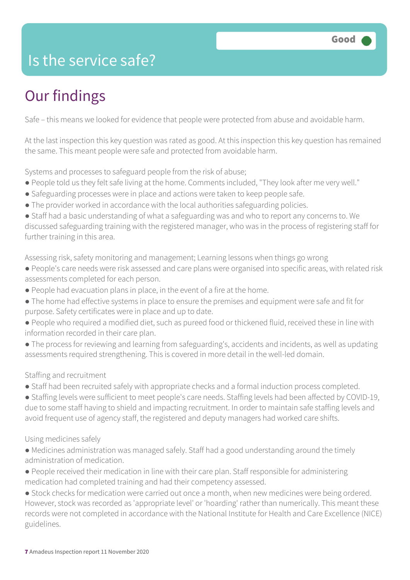### Is the service safe?

### Our findings

Safe – this means we looked for evidence that people were protected from abuse and avoidable harm.

At the last inspection this key question was rated as good. At this inspection this key question has remained the same. This meant people were safe and protected from avoidable harm.

Systems and processes to safeguard people from the risk of abuse;

- People told us they felt safe living at the home. Comments included, "They look after me very well."
- Safeguarding processes were in place and actions were taken to keep people safe.
- The provider worked in accordance with the local authorities safeguarding policies.
- Staff had a basic understanding of what a safeguarding was and who to report any concerns to. We discussed safeguarding training with the registered manager, who was in the process of registering staff for further training in this area.

Assessing risk, safety monitoring and management; Learning lessons when things go wrong

- People's care needs were risk assessed and care plans were organised into specific areas, with related risk assessments completed for each person.
- People had evacuation plans in place, in the event of a fire at the home.
- The home had effective systems in place to ensure the premises and equipment were safe and fit for purpose. Safety certificates were in place and up to date.
- People who required a modified diet, such as pureed food or thickened fluid, received these in line with information recorded in their care plan.
- The process for reviewing and learning from safeguarding's, accidents and incidents, as well as updating assessments required strengthening. This is covered in more detail in the well-led domain.

#### Staffing and recruitment

- Staff had been recruited safely with appropriate checks and a formal induction process completed.
- Staffing levels were sufficient to meet people's care needs. Staffing levels had been affected by COVID-19, due to some staff having to shield and impacting recruitment. In order to maintain safe staffing levels and avoid frequent use of agency staff, the registered and deputy managers had worked care shifts.

#### Using medicines safely

- Medicines administration was managed safely. Staff had a good understanding around the timely administration of medication.
- People received their medication in line with their care plan. Staff responsible for administering medication had completed training and had their competency assessed.

● Stock checks for medication were carried out once a month, when new medicines were being ordered. However, stock was recorded as 'appropriate level' or 'hoarding' rather than numerically. This meant these records were not completed in accordance with the National Institute for Health and Care Excellence (NICE) guidelines.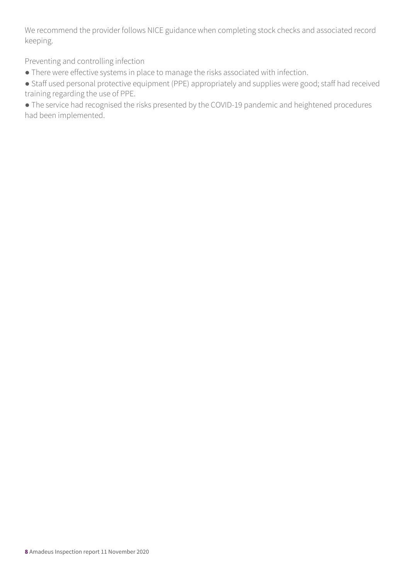We recommend the provider follows NICE guidance when completing stock checks and associated record keeping.

Preventing and controlling infection

● There were effective systems in place to manage the risks associated with infection.

● Staff used personal protective equipment (PPE) appropriately and supplies were good; staff had received training regarding the use of PPE.

● The service had recognised the risks presented by the COVID-19 pandemic and heightened procedures had been implemented.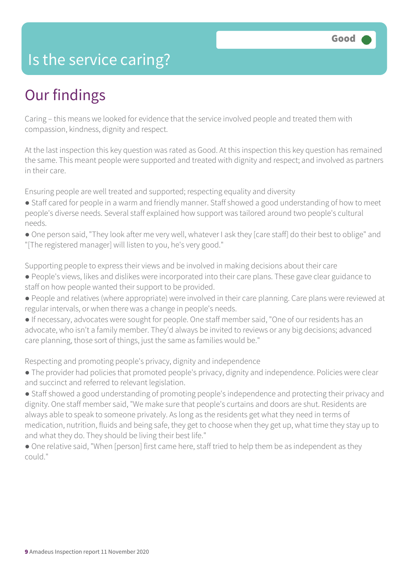### Is the service caring?

### Our findings

Caring – this means we looked for evidence that the service involved people and treated them with compassion, kindness, dignity and respect.

At the last inspection this key question was rated as Good. At this inspection this key question has remained the same. This meant people were supported and treated with dignity and respect; and involved as partners in their care.

Ensuring people are well treated and supported; respecting equality and diversity

- Staff cared for people in a warm and friendly manner. Staff showed a good understanding of how to meet people's diverse needs. Several staff explained how support was tailored around two people's cultural needs.
- One person said, "They look after me very well, whatever I ask they [care staff] do their best to oblige" and "[The registered manager] will listen to you, he's very good."

Supporting people to express their views and be involved in making decisions about their care

- People's views, likes and dislikes were incorporated into their care plans. These gave clear guidance to staff on how people wanted their support to be provided.
- People and relatives (where appropriate) were involved in their care planning. Care plans were reviewed at regular intervals, or when there was a change in people's needs.
- If necessary, advocates were sought for people. One staff member said, "One of our residents has an advocate, who isn't a family member. They'd always be invited to reviews or any big decisions; advanced care planning, those sort of things, just the same as families would be."

Respecting and promoting people's privacy, dignity and independence

- The provider had policies that promoted people's privacy, dignity and independence. Policies were clear and succinct and referred to relevant legislation.
- Staff showed a good understanding of promoting people's independence and protecting their privacy and dignity. One staff member said, "We make sure that people's curtains and doors are shut. Residents are always able to speak to someone privately. As long as the residents get what they need in terms of medication, nutrition, fluids and being safe, they get to choose when they get up, what time they stay up to and what they do. They should be living their best life."
- One relative said, "When [person] first came here, staff tried to help them be as independent as they could."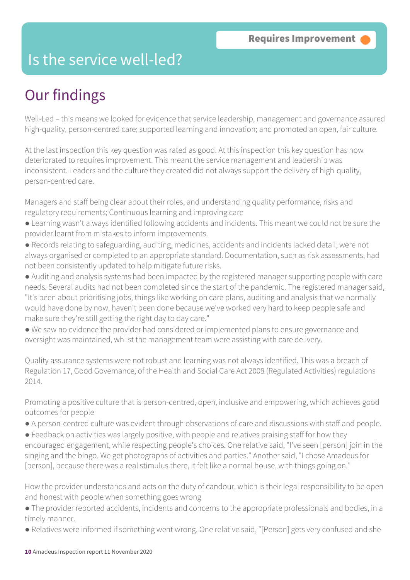### Is the service well-led?

### Our findings

Well-Led – this means we looked for evidence that service leadership, management and governance assured high-quality, person-centred care; supported learning and innovation; and promoted an open, fair culture.

At the last inspection this key question was rated as good. At this inspection this key question has now deteriorated to requires improvement. This meant the service management and leadership was inconsistent. Leaders and the culture they created did not always support the delivery of high-quality, person-centred care.

Managers and staff being clear about their roles, and understanding quality performance, risks and regulatory requirements; Continuous learning and improving care

- Learning wasn't always identified following accidents and incidents. This meant we could not be sure the provider learnt from mistakes to inform improvements.
- Records relating to safeguarding, auditing, medicines, accidents and incidents lacked detail, were not always organised or completed to an appropriate standard. Documentation, such as risk assessments, had not been consistently updated to help mitigate future risks.

● Auditing and analysis systems had been impacted by the registered manager supporting people with care needs. Several audits had not been completed since the start of the pandemic. The registered manager said, "It's been about prioritising jobs, things like working on care plans, auditing and analysis that we normally would have done by now, haven't been done because we've worked very hard to keep people safe and make sure they're still getting the right day to day care."

● We saw no evidence the provider had considered or implemented plans to ensure governance and oversight was maintained, whilst the management team were assisting with care delivery.

Quality assurance systems were not robust and learning was not always identified. This was a breach of Regulation 17, Good Governance, of the Health and Social Care Act 2008 (Regulated Activities) regulations 2014.

Promoting a positive culture that is person-centred, open, inclusive and empowering, which achieves good outcomes for people

- A person-centred culture was evident through observations of care and discussions with staff and people.
- Feedback on activities was largely positive, with people and relatives praising staff for how they encouraged engagement, while respecting people's choices. One relative said, "I've seen [person] join in the singing and the bingo. We get photographs of activities and parties." Another said, "I chose Amadeus for [person], because there was a real stimulus there, it felt like a normal house, with things going on."

How the provider understands and acts on the duty of candour, which is their legal responsibility to be open and honest with people when something goes wrong

- The provider reported accidents, incidents and concerns to the appropriate professionals and bodies, in a timely manner.
- Relatives were informed if something went wrong. One relative said, "[Person] gets very confused and she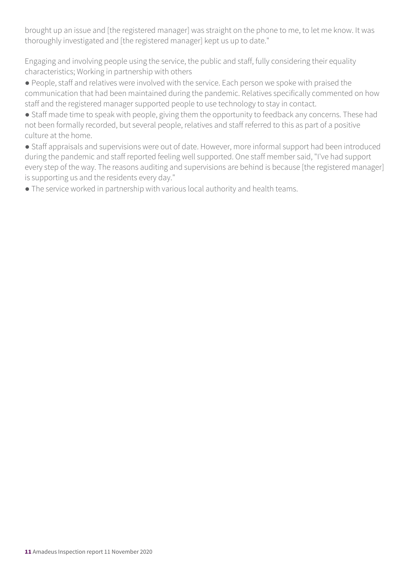brought up an issue and [the registered manager] was straight on the phone to me, to let me know. It was thoroughly investigated and [the registered manager] kept us up to date."

Engaging and involving people using the service, the public and staff, fully considering their equality characteristics; Working in partnership with others

● People, staff and relatives were involved with the service. Each person we spoke with praised the communication that had been maintained during the pandemic. Relatives specifically commented on how staff and the registered manager supported people to use technology to stay in contact.

● Staff made time to speak with people, giving them the opportunity to feedback any concerns. These had not been formally recorded, but several people, relatives and staff referred to this as part of a positive culture at the home.

● Staff appraisals and supervisions were out of date. However, more informal support had been introduced during the pandemic and staff reported feeling well supported. One staff member said, "I've had support every step of the way. The reasons auditing and supervisions are behind is because [the registered manager] is supporting us and the residents every day."

● The service worked in partnership with various local authority and health teams.